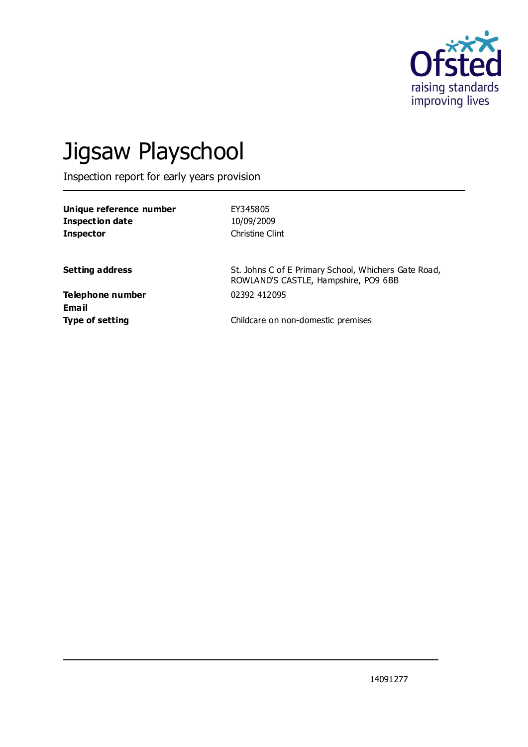

# Jigsaw Playschool

Inspection report for early years provision

| EY345805        |
|-----------------|
| 10/09/2009      |
| Christine Clint |
|                 |

**Setting address** St. Johns C of E Primary School, Whichers Gate Road, ROWLAND'S CASTLE, Hampshire, PO9 6BB

**Telephone number** 02392 412095 **Email**

**Type of setting** Childcare on non-domestic premises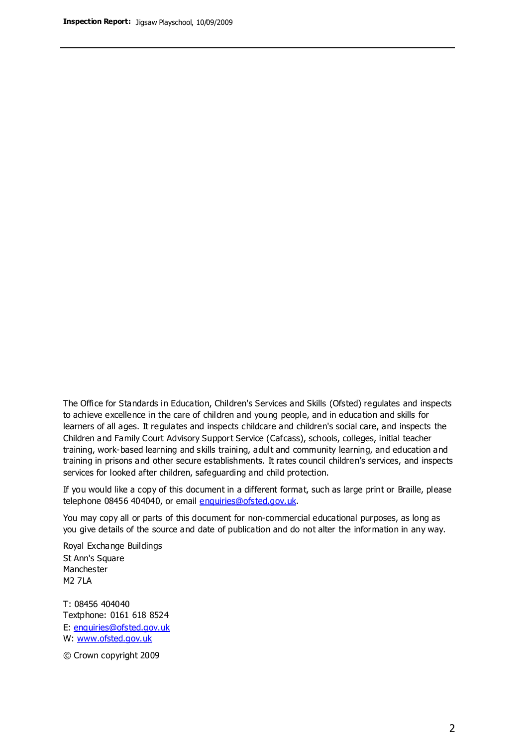The Office for Standards in Education, Children's Services and Skills (Ofsted) regulates and inspects to achieve excellence in the care of children and young people, and in education and skills for learners of all ages. It regulates and inspects childcare and children's social care, and inspects the Children and Family Court Advisory Support Service (Cafcass), schools, colleges, initial teacher training, work-based learning and skills training, adult and community learning, and education and training in prisons and other secure establishments. It rates council children's services, and inspects services for looked after children, safeguarding and child protection.

If you would like a copy of this document in a different format, such as large print or Braille, please telephone 08456 404040, or email enquiries@ofsted.gov.uk.

You may copy all or parts of this document for non-commercial educational purposes, as long as you give details of the source and date of publication and do not alter the information in any way.

Royal Exchange Buildings St Ann's Square Manchester M2 7LA

T: 08456 404040 Textphone: 0161 618 8524 E: enquiries@ofsted.gov.uk W: [www.ofsted.gov.uk](http://www.ofsted.gov.uk/)

© Crown copyright 2009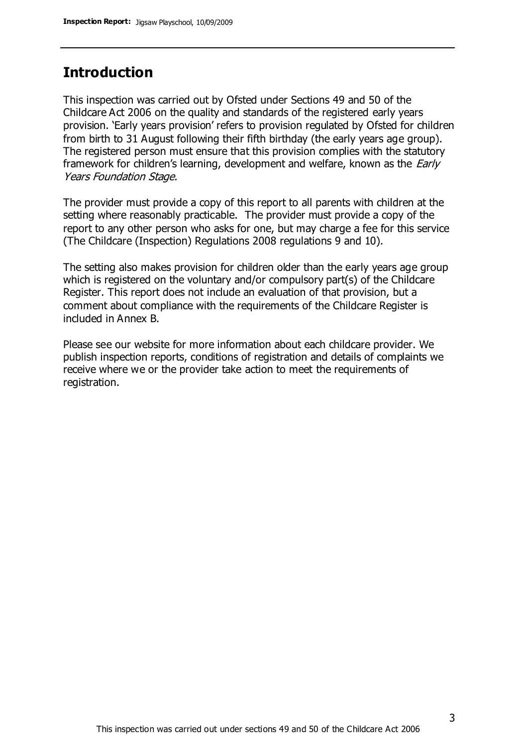#### **Introduction**

This inspection was carried out by Ofsted under Sections 49 and 50 of the Childcare Act 2006 on the quality and standards of the registered early years provision. 'Early years provision' refers to provision regulated by Ofsted for children from birth to 31 August following their fifth birthday (the early years age group). The registered person must ensure that this provision complies with the statutory framework for children's learning, development and welfare, known as the *Early* Years Foundation Stage.

The provider must provide a copy of this report to all parents with children at the setting where reasonably practicable. The provider must provide a copy of the report to any other person who asks for one, but may charge a fee for this service (The Childcare (Inspection) Regulations 2008 regulations 9 and 10).

The setting also makes provision for children older than the early years age group which is registered on the voluntary and/or compulsory part(s) of the Childcare Register. This report does not include an evaluation of that provision, but a comment about compliance with the requirements of the Childcare Register is included in Annex B.

Please see our website for more information about each childcare provider. We publish inspection reports, conditions of registration and details of complaints we receive where we or the provider take action to meet the requirements of registration.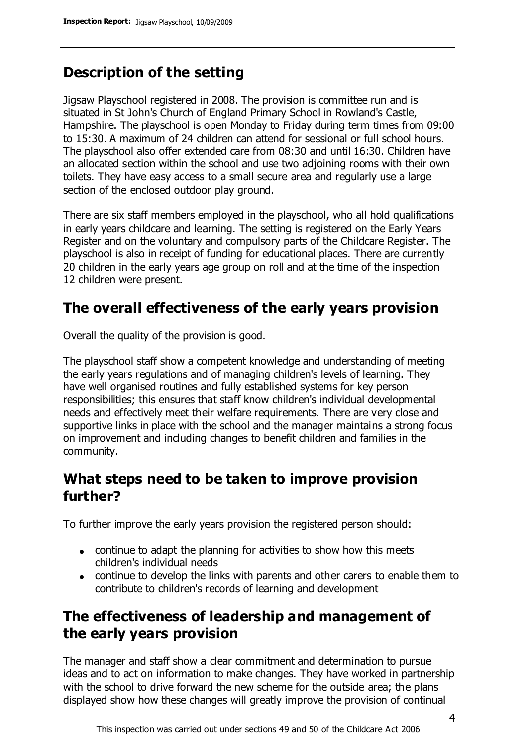## **Description of the setting**

Jigsaw Playschool registered in 2008. The provision is committee run and is situated in St John's Church of England Primary School in Rowland's Castle, Hampshire. The playschool is open Monday to Friday during term times from 09:00 to 15:30. A maximum of 24 children can attend for sessional or full school hours. The playschool also offer extended care from 08:30 and until 16:30. Children have an allocated section within the school and use two adjoining rooms with their own toilets. They have easy access to a small secure area and regularly use a large section of the enclosed outdoor play ground.

There are six staff members employed in the playschool, who all hold qualifications in early years childcare and learning. The setting is registered on the Early Years Register and on the voluntary and compulsory parts of the Childcare Register. The playschool is also in receipt of funding for educational places. There are currently 20 children in the early years age group on roll and at the time of the inspection 12 children were present.

## **The overall effectiveness of the early years provision**

Overall the quality of the provision is good.

The playschool staff show a competent knowledge and understanding of meeting the early years regulations and of managing children's levels of learning. They have well organised routines and fully established systems for key person responsibilities; this ensures that staff know children's individual developmental needs and effectively meet their welfare requirements. There are very close and supportive links in place with the school and the manager maintains a strong focus on improvement and including changes to benefit children and families in the community.

#### **What steps need to be taken to improve provision further?**

To further improve the early years provision the registered person should:

- continue to adapt the planning for activities to show how this meets children's individual needs
- continue to develop the links with parents and other carers to enable them to contribute to children's records of learning and development

## **The effectiveness of leadership and management of the early years provision**

The manager and staff show a clear commitment and determination to pursue ideas and to act on information to make changes. They have worked in partnership with the school to drive forward the new scheme for the outside area; the plans displayed show how these changes will greatly improve the provision of continual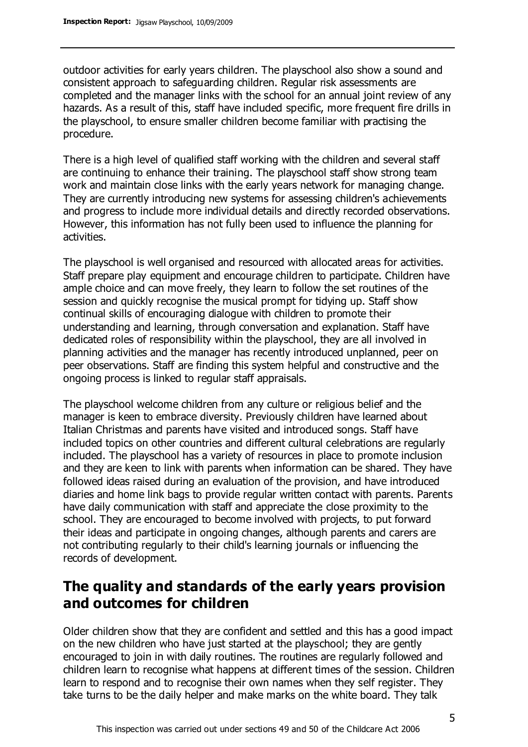outdoor activities for early years children. The playschool also show a sound and consistent approach to safeguarding children. Regular risk assessments are completed and the manager links with the school for an annual joint review of any hazards. As a result of this, staff have included specific, more frequent fire drills in the playschool, to ensure smaller children become familiar with practising the procedure.

There is a high level of qualified staff working with the children and several staff are continuing to enhance their training. The playschool staff show strong team work and maintain close links with the early years network for managing change. They are currently introducing new systems for assessing children's achievements and progress to include more individual details and directly recorded observations. However, this information has not fully been used to influence the planning for activities.

The playschool is well organised and resourced with allocated areas for activities. Staff prepare play equipment and encourage children to participate. Children have ample choice and can move freely, they learn to follow the set routines of the session and quickly recognise the musical prompt for tidying up. Staff show continual skills of encouraging dialogue with children to promote their understanding and learning, through conversation and explanation. Staff have dedicated roles of responsibility within the playschool, they are all involved in planning activities and the manager has recently introduced unplanned, peer on peer observations. Staff are finding this system helpful and constructive and the ongoing process is linked to regular staff appraisals.

The playschool welcome children from any culture or religious belief and the manager is keen to embrace diversity. Previously children have learned about Italian Christmas and parents have visited and introduced songs. Staff have included topics on other countries and different cultural celebrations are regularly included. The playschool has a variety of resources in place to promote inclusion and they are keen to link with parents when information can be shared. They have followed ideas raised during an evaluation of the provision, and have introduced diaries and home link bags to provide regular written contact with parents. Parents have daily communication with staff and appreciate the close proximity to the school. They are encouraged to become involved with projects, to put forward their ideas and participate in ongoing changes, although parents and carers are not contributing regularly to their child's learning journals or influencing the records of development.

### **The quality and standards of the early years provision and outcomes for children**

Older children show that they are confident and settled and this has a good impact on the new children who have just started at the playschool; they are gently encouraged to join in with daily routines. The routines are regularly followed and children learn to recognise what happens at different times of the session. Children learn to respond and to recognise their own names when they self register. They take turns to be the daily helper and make marks on the white board. They talk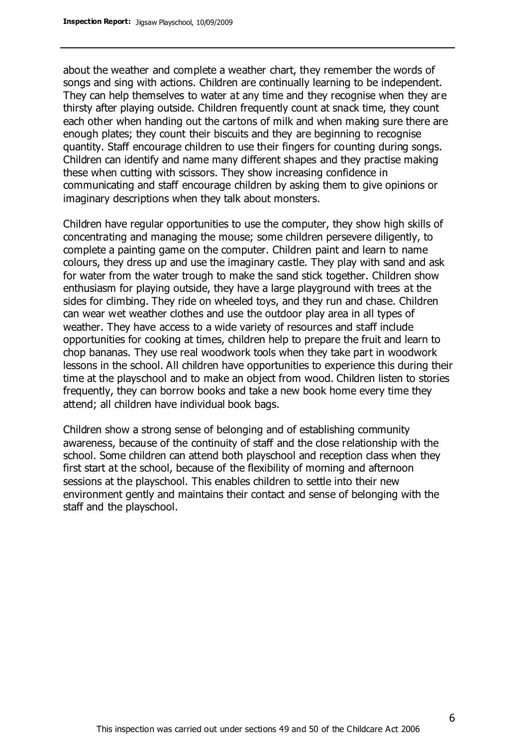about the weather and complete a weather chart, they remember the words of songs and sing with actions. Children are continually learning to be independent. They can help themselves to water at any time and they recognise when they are thirsty after playing outside. Children frequently count at snack time, they count each other when handing out the cartons of milk and when making sure there are enough plates; they count their biscuits and they are beginning to recognise quantity. Staff encourage children to use their fingers for counting during songs. Children can identify and name many different shapes and they practise making these when cutting with scissors. They show increasing confidence in communicating and staff encourage children by asking them to give opinions or imaginary descriptions when they talk about monsters.

Children have regular opportunities to use the computer, they show high skills of concentrating and managing the mouse; some children persevere diligently, to complete a painting game on the computer. Children paint and learn to name colours, they dress up and use the imaginary castle. They play with sand and ask for water from the water trough to make the sand stick together. Children show enthusiasm for playing outside, they have a large playground with trees at the sides for climbing. They ride on wheeled toys, and they run and chase. Children can wear wet weather clothes and use the outdoor play area in all types of weather. They have access to a wide variety of resources and staff include opportunities for cooking at times, children help to prepare the fruit and learn to chop bananas. They use real woodwork tools when they take part in woodwork lessons in the school. All children have opportunities to experience this during their time at the playschool and to make an object from wood. Children listen to stories frequently, they can borrow books and take a new book home every time they attend; all children have individual book bags.

Children show a strong sense of belonging and of establishing community awareness, because of the continuity of staff and the close relationship with the school. Some children can attend both playschool and reception class when they first start at the school, because of the flexibility of morning and afternoon sessions at the playschool. This enables children to settle into their new environment gently and maintains their contact and sense of belonging with the staff and the playschool.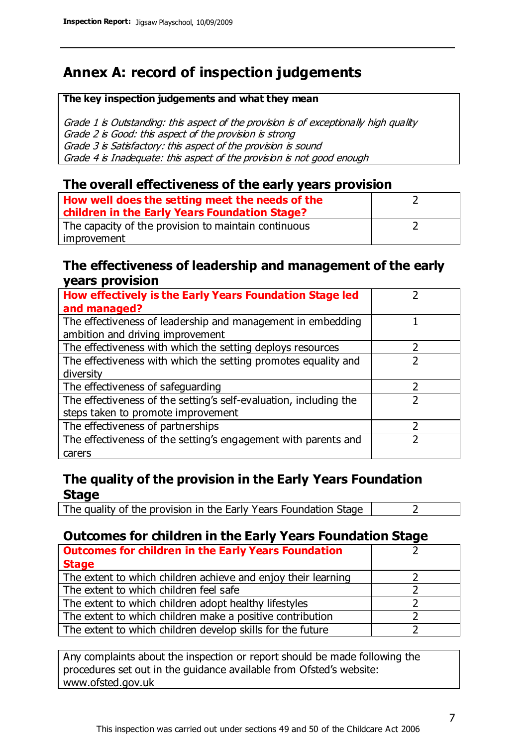## **Annex A: record of inspection judgements**

#### **The key inspection judgements and what they mean**

Grade 1 is Outstanding: this aspect of the provision is of exceptionally high quality Grade 2 is Good: this aspect of the provision is strong Grade 3 is Satisfactory: this aspect of the provision is sound Grade 4 is Inadequate: this aspect of the provision is not good enough

#### **The overall effectiveness of the early years provision**

| How well does the setting meet the needs of the<br>children in the Early Years Foundation Stage? |  |
|--------------------------------------------------------------------------------------------------|--|
| The capacity of the provision to maintain continuous                                             |  |
| improvement                                                                                      |  |

#### **The effectiveness of leadership and management of the early years provision**

| How effectively is the Early Years Foundation Stage led                                         |   |
|-------------------------------------------------------------------------------------------------|---|
| and managed?                                                                                    |   |
| The effectiveness of leadership and management in embedding<br>ambition and driving improvement |   |
| The effectiveness with which the setting deploys resources                                      |   |
| The effectiveness with which the setting promotes equality and                                  |   |
| diversity                                                                                       |   |
| The effectiveness of safeguarding                                                               | 2 |
| The effectiveness of the setting's self-evaluation, including the                               |   |
| steps taken to promote improvement                                                              |   |
| The effectiveness of partnerships                                                               |   |
| The effectiveness of the setting's engagement with parents and                                  |   |
| carers                                                                                          |   |

#### **The quality of the provision in the Early Years Foundation Stage**

The quality of the provision in the Early Years Foundation Stage  $\vert$  2

#### **Outcomes for children in the Early Years Foundation Stage**

| <b>Outcomes for children in the Early Years Foundation</b>    |  |
|---------------------------------------------------------------|--|
| <b>Stage</b>                                                  |  |
| The extent to which children achieve and enjoy their learning |  |
| The extent to which children feel safe                        |  |
| The extent to which children adopt healthy lifestyles         |  |
| The extent to which children make a positive contribution     |  |
| The extent to which children develop skills for the future    |  |

Any complaints about the inspection or report should be made following the procedures set out in the guidance available from Ofsted's website: www.ofsted.gov.uk